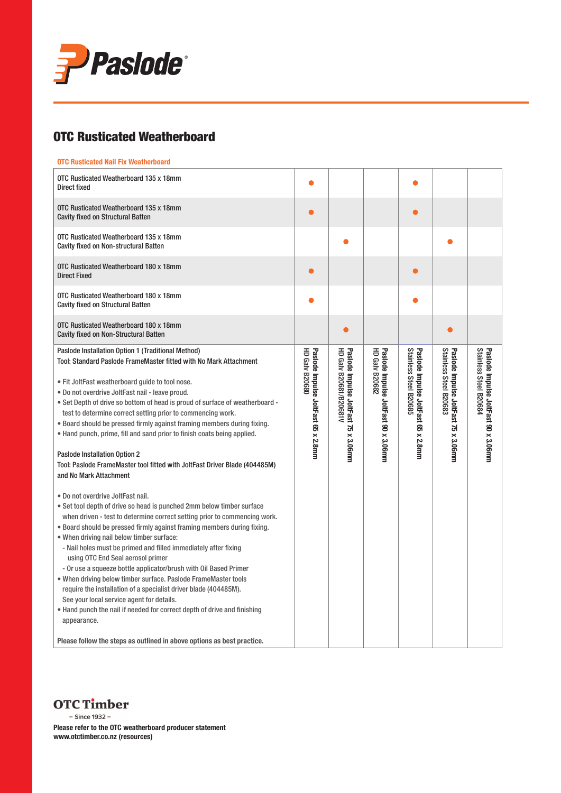

## OTC Rusticated Weatherboard

### OTC Rusticated Nail Fix Weatherboard

| OTC Rusticated Weatherboard 135 x 18mm<br><b>Direct fixed</b>                                                                                                                                                                                                                                                                                                                                                                                                                                                                                                                                                                                                                                                                                                                                                                                                                                                                                                                                                                                                                                                                                                                                                                                                                                                                                                                                                                                            |                                                              |                                                                |                                                               |                                                               |                                                                |                                                                |
|----------------------------------------------------------------------------------------------------------------------------------------------------------------------------------------------------------------------------------------------------------------------------------------------------------------------------------------------------------------------------------------------------------------------------------------------------------------------------------------------------------------------------------------------------------------------------------------------------------------------------------------------------------------------------------------------------------------------------------------------------------------------------------------------------------------------------------------------------------------------------------------------------------------------------------------------------------------------------------------------------------------------------------------------------------------------------------------------------------------------------------------------------------------------------------------------------------------------------------------------------------------------------------------------------------------------------------------------------------------------------------------------------------------------------------------------------------|--------------------------------------------------------------|----------------------------------------------------------------|---------------------------------------------------------------|---------------------------------------------------------------|----------------------------------------------------------------|----------------------------------------------------------------|
| OTC Rusticated Weatherboard 135 x 18mm<br><b>Cavity fixed on Structural Batten</b>                                                                                                                                                                                                                                                                                                                                                                                                                                                                                                                                                                                                                                                                                                                                                                                                                                                                                                                                                                                                                                                                                                                                                                                                                                                                                                                                                                       |                                                              |                                                                |                                                               |                                                               |                                                                |                                                                |
| OTC Rusticated Weatherboard 135 x 18mm<br><b>Cavity fixed on Non-structural Batten</b>                                                                                                                                                                                                                                                                                                                                                                                                                                                                                                                                                                                                                                                                                                                                                                                                                                                                                                                                                                                                                                                                                                                                                                                                                                                                                                                                                                   |                                                              |                                                                |                                                               |                                                               |                                                                |                                                                |
| OTC Rusticated Weatherboard 180 x 18mm<br><b>Direct Fixed</b>                                                                                                                                                                                                                                                                                                                                                                                                                                                                                                                                                                                                                                                                                                                                                                                                                                                                                                                                                                                                                                                                                                                                                                                                                                                                                                                                                                                            |                                                              |                                                                |                                                               |                                                               |                                                                |                                                                |
| OTC Rusticated Weatherboard 180 x 18mm<br><b>Cavity fixed on Structural Batten</b>                                                                                                                                                                                                                                                                                                                                                                                                                                                                                                                                                                                                                                                                                                                                                                                                                                                                                                                                                                                                                                                                                                                                                                                                                                                                                                                                                                       |                                                              |                                                                |                                                               |                                                               |                                                                |                                                                |
| OTC Rusticated Weatherboard 180 x 18mm<br><b>Cavity fixed on Non-Structural Batten</b>                                                                                                                                                                                                                                                                                                                                                                                                                                                                                                                                                                                                                                                                                                                                                                                                                                                                                                                                                                                                                                                                                                                                                                                                                                                                                                                                                                   |                                                              |                                                                |                                                               |                                                               |                                                                |                                                                |
| Paslode Installation Option 1 (Traditional Method)<br>Tool: Standard Paslode FrameMaster fitted with No Mark Attachment<br>. Fit JoltFast weatherboard guide to tool nose.<br>• Do not overdrive JoltFast nail - leave proud.<br>• Set Depth of drive so bottom of head is proud of surface of weatherboard -<br>test to determine correct setting prior to commencing work.<br>• Board should be pressed firmly against framing members during fixing.<br>• Hand punch, prime, fill and sand prior to finish coats being applied.<br>Paslode Installation Option 2<br>Tool: Paslode FrameMaster tool fitted with JoltFast Driver Blade (404485M)<br>and No Mark Attachment<br>• Do not overdrive JoltFast nail.<br>• Set tool depth of drive so head is punched 2mm below timber surface<br>when driven - test to determine correct setting prior to commencing work.<br>• Board should be pressed firmly against framing members during fixing.<br>. When driving nail below timber surface:<br>- Nail holes must be primed and filled immediately after fixing<br>using OTC End Seal aerosol primer<br>- Or use a squeeze bottle applicator/brush with Oil Based Primer<br>. When driving below timber surface. Paslode FrameMaster tools<br>require the installation of a specialist driver blade (404485M).<br>See your local service agent for details.<br>• Hand punch the nail if needed for correct depth of drive and finishing<br>appearance. | <b>HD Galv B20680</b><br>Paslode Impulse JoltFast 65 x 2.8mm | HD Galv B20681/B20681V<br>Paslode Impulse JoltFast 75 x 3.06mm | Paslode Impulse JoltFast 90 x 3.06mm<br><b>HD Galv B20682</b> | Stainless Steel B20685<br>Paslode Impulse JoltFast 65 x 2.8mm | Stainless Steel B20683<br>Paslode Impulse JoltFast 75 x 3.06mm | Stainless Steel B20684<br>Paslode Impulse JoltFast 90 x 3.06mm |
| Please follow the steps as outlined in above options as best practice.                                                                                                                                                                                                                                                                                                                                                                                                                                                                                                                                                                                                                                                                                                                                                                                                                                                                                                                                                                                                                                                                                                                                                                                                                                                                                                                                                                                   |                                                              |                                                                |                                                               |                                                               |                                                                |                                                                |

**OTC Timber** - Since 1932 -

Please refer to the OTC weatherboard producer statement www.otctimber.co.nz (resources)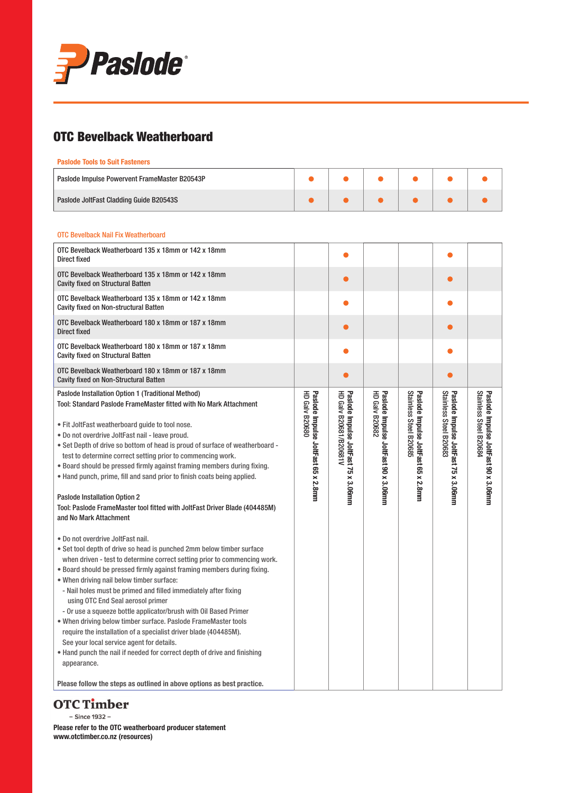

## OTC Bevelback Weatherboard

#### Paslode Tools to Suit Fasteners

| Paslode Impulse Powervent FrameMaster B20543P |  |  |  |
|-----------------------------------------------|--|--|--|
| Paslode JoltFast Cladding Guide B20543S       |  |  |  |

#### OTC Bevelback Nail Fix Weatherboard

| OTC Bevelback Weatherboard 135 x 18mm or 142 x 18mm<br>Direct fixed                                                                                                                                                                                                                                                                                                                                                                                                                                                                                                                                                                                                                                                                                                                                                                                                                                                                                                                                                                                                                                                                                                                                                                                                                                                                                                                                                                                      |                                                              |                                                                |                                                               |                                                               |                                                                |                                                                |
|----------------------------------------------------------------------------------------------------------------------------------------------------------------------------------------------------------------------------------------------------------------------------------------------------------------------------------------------------------------------------------------------------------------------------------------------------------------------------------------------------------------------------------------------------------------------------------------------------------------------------------------------------------------------------------------------------------------------------------------------------------------------------------------------------------------------------------------------------------------------------------------------------------------------------------------------------------------------------------------------------------------------------------------------------------------------------------------------------------------------------------------------------------------------------------------------------------------------------------------------------------------------------------------------------------------------------------------------------------------------------------------------------------------------------------------------------------|--------------------------------------------------------------|----------------------------------------------------------------|---------------------------------------------------------------|---------------------------------------------------------------|----------------------------------------------------------------|----------------------------------------------------------------|
| OTC Bevelback Weatherboard 135 x 18mm or 142 x 18mm<br><b>Cavity fixed on Structural Batten</b>                                                                                                                                                                                                                                                                                                                                                                                                                                                                                                                                                                                                                                                                                                                                                                                                                                                                                                                                                                                                                                                                                                                                                                                                                                                                                                                                                          |                                                              | $\bullet$                                                      |                                                               |                                                               | O                                                              |                                                                |
| OTC Bevelback Weatherboard 135 x 18mm or 142 x 18mm<br><b>Cavity fixed on Non-structural Batten</b>                                                                                                                                                                                                                                                                                                                                                                                                                                                                                                                                                                                                                                                                                                                                                                                                                                                                                                                                                                                                                                                                                                                                                                                                                                                                                                                                                      |                                                              |                                                                |                                                               |                                                               |                                                                |                                                                |
| OTC Bevelback Weatherboard 180 x 18mm or 187 x 18mm<br><b>Direct fixed</b>                                                                                                                                                                                                                                                                                                                                                                                                                                                                                                                                                                                                                                                                                                                                                                                                                                                                                                                                                                                                                                                                                                                                                                                                                                                                                                                                                                               |                                                              | $\bullet$                                                      |                                                               |                                                               | e                                                              |                                                                |
| OTC Bevelback Weatherboard 180 x 18mm or 187 x 18mm<br><b>Cavity fixed on Structural Batten</b>                                                                                                                                                                                                                                                                                                                                                                                                                                                                                                                                                                                                                                                                                                                                                                                                                                                                                                                                                                                                                                                                                                                                                                                                                                                                                                                                                          |                                                              |                                                                |                                                               |                                                               |                                                                |                                                                |
| OTC Bevelback Weatherboard 180 x 18mm or 187 x 18mm<br>Cavity fixed on Non-Structural Batten                                                                                                                                                                                                                                                                                                                                                                                                                                                                                                                                                                                                                                                                                                                                                                                                                                                                                                                                                                                                                                                                                                                                                                                                                                                                                                                                                             |                                                              | $\bullet$                                                      |                                                               |                                                               | $\bullet$                                                      |                                                                |
| Paslode Installation Option 1 (Traditional Method)<br>Tool: Standard Paslode FrameMaster fitted with No Mark Attachment<br>. Fit JoltFast weatherboard guide to tool nose.<br>. Do not overdrive JoltFast nail - leave proud.<br>. Set Depth of drive so bottom of head is proud of surface of weatherboard -<br>test to determine correct setting prior to commencing work.<br>. Board should be pressed firmly against framing members during fixing.<br>. Hand punch, prime, fill and sand prior to finish coats being applied.<br>Paslode Installation Option 2<br>Tool: Paslode FrameMaster tool fitted with JoltFast Driver Blade (404485M)<br>and No Mark Attachment<br>• Do not overdrive JoltFast nail.<br>• Set tool depth of drive so head is punched 2mm below timber surface<br>when driven - test to determine correct setting prior to commencing work.<br>• Board should be pressed firmly against framing members during fixing.<br>• When driving nail below timber surface:<br>- Nail holes must be primed and filled immediately after fixing<br>using OTC End Seal aerosol primer<br>- Or use a squeeze bottle applicator/brush with Oil Based Primer<br>. When driving below timber surface. Paslode FrameMaster tools<br>require the installation of a specialist driver blade (404485M).<br>See your local service agent for details.<br>. Hand punch the nail if needed for correct depth of drive and finishing<br>appearance. | <b>HD Galv B20680</b><br>Paslode Impulse JoltFast 65 x 2.8mm | HD Galv B20681/B20681V<br>Paslode Impulse JoltFast 75 x 3.06mm | <b>HD Galv B20682</b><br>Paslode Impulse JoltFast 90 x 3.06mm | Stainless Steel B20685<br>Paslode Impulse JoltFast 65 x 2.8mm | Stainless Steel B20683<br>Paslode Impulse JoltFast 75 x 3.06mm | Stainless Steel B20684<br>Paslode Impulse JoltFast 90 x 3.06mm |
| Please follow the steps as outlined in above options as best practice.                                                                                                                                                                                                                                                                                                                                                                                                                                                                                                                                                                                                                                                                                                                                                                                                                                                                                                                                                                                                                                                                                                                                                                                                                                                                                                                                                                                   |                                                              |                                                                |                                                               |                                                               |                                                                |                                                                |

# **OTC Timber**

- Since 1932 -

Please refer to the OTC weatherboard producer statement www.otctimber.co.nz (resources)